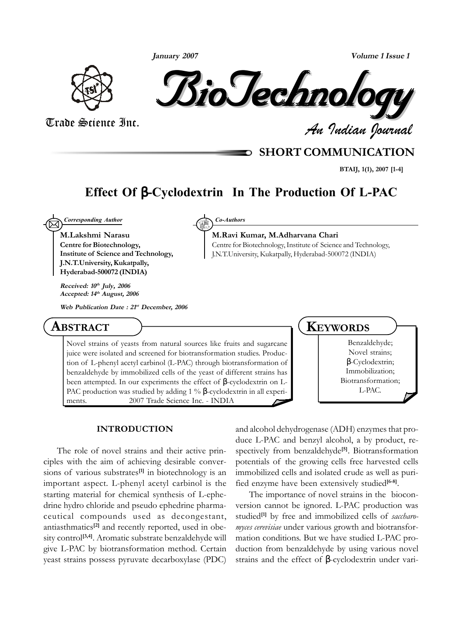**January 2007**



BioTechnology BioTechnology BioTechnology BioTechnology BioTechnology BioTechnology

*An Indian Journal* Trade Science Inc.

## **SHORT COMMUNICATION**

**BTAIJ, 1(1), 2007 [1-4]**

# **Effect Of** β**-Cyclodextrin In The Production Of L-PAC**

 $\boxtimes$ *Corresponding Author Co-Authors*

**M.Lakshmi Narasu Centre for Biotechnology, Institute of Science and Technology, J.N.T.University, Kukatpally, Hyderabad-500072 (INDIA)**

**Received: 10th July, 2006 Accepted: 14th August, 2006**

**Web Publication Date : 21st December, 2006**

## **ABSTRACT**

Novel strains of yeasts from natural sources like fruits and sugarcane juice were isolated and screened for biotransformation studies. Production of L-phenyl acetyl carbinol (L-PAC) through biotransformation of benzaldehyde by immobilized cells of the yeast of different strains has been attempted. In our experiments the effect of  $β$ -cyclodextrin on L-PAC production was studied by adding 1 % β-cyclodextrin in all experiments.  $\circ$  2007 Trade Science Inc. - INDIA

#### **INTRODUCTION**

The role of novel strains and their active principles with the aim of achieving desirable conversions of various substrates<sup>[1]</sup> in biotechnology is an important aspect. L-phenyl acetyl carbinol is the starting material for chemical synthesis of L-ephedrine hydro chloride and pseudo ephedrine pharmaceutical compounds used as decongestant, antiasthmatics**[2]** and recently reported, used in obesity control<sup>[3,4]</sup>. Aromatic substrate benzaldehyde will give L-PAC by biotransformation method. Certain yeast strains possess pyruvate decarboxylase (PDC)

**M.Ravi Kumar, M.Adharvana Chari** Centre for Biotechnology, Institute of Science and Technology, J.N.T.University, Kukatpally, Hyderabad-500072 (INDIA)

### **KEYWORDS**

Benzaldehyde; Novel strains; β-Cyclodextrin; Immobilization; Biotransformation; L-PAC.

and alcohol dehydrogenase (ADH) enzymes that produce L-PAC and benzyl alcohol, a by product, respectively from benzaldehyde**[5]**. Biotransformation potentials of the growing cells free harvested cells immobilized cells and isolated crude as well as purified enzyme have been extensively studied<sup>[6-8]</sup>.

The importance of novel strains in the bioconversion cannot be ignored. L-PAC production was studied<sup>[1]</sup> by free and immobilized cells of *saccharomyces cerevisiae* under various growth and biotransformation conditions. But we have studied L-PAC production from benzaldehyde by using various novel strains and the effect of β-cyclodextrin under vari-

**Volume 1 Issue 1**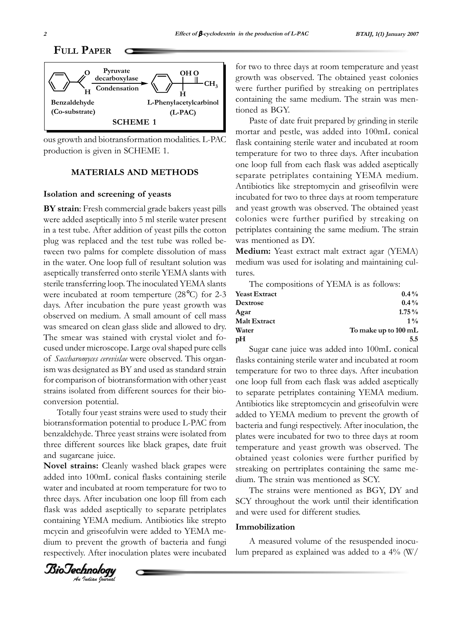



ous growth and biotransformation modalities. L-PAC production is given in SCHEME 1.

#### **MATERIALS AND METHODS**

#### **Isolation and screening of yeasts**

**BY strain**: Fresh commercial grade bakers yeast pills were added aseptically into 5 ml sterile water present in a test tube. After addition of yeast pills the cotton plug was replaced and the test tube was rolled between two palms for complete dissolution of mass in the water. One loop full of resultant solution was aseptically transferred onto sterile YEMA slants with sterile transferring loop. The inoculated YEMA slants were incubated at room temperture (28°C) for 2-3 days. After incubation the pure yeast growth was observed on medium. A small amount of cell mass was smeared on clean glass slide and allowed to dry. The smear was stained with crystal violet and focused under microscope. Large oval shaped pure cells of *Saccharomyces cerevislae* were observed. This organism was designated as BY and used as standard strain for comparison of biotransformation with other yeast strains isolated from different sources for their bioconversion potential.

Totally four yeast strains were used to study their biotransformation potential to produce L-PAC from benzaldehyde. Three yeast strains were isolated from three different sources like black grapes, date fruit and sugarcane juice.

**Novel strains:** Cleanly washed black grapes were added into 100mL conical flasks containing sterile water and incubated at room temperature for two to three days. After incubation one loop fill from each flask was added aseptically to separate petriplates containing YEMA medium. Antibiotics like strepto mcycin and griseofulvin were added to YEMA medium to prevent the growth of bacteria and fungi respectively. After inoculation plates were incubated for two to three days at room temperature and yeast growth was observed. The obtained yeast colonies were further purified by streaking on pertriplates containing the same medium. The strain was mentioned as BGY.

Paste of date fruit prepared by grinding in sterile mortar and pestle, was added into 100mL conical flask containing sterile water and incubated at room temperature for two to three days. After incubation one loop full from each flask was added aseptically separate petriplates containing YEMA medium. Antibiotics like streptomycin and griseofilvin were incubated for two to three days at room temperature and yeast growth was observed. The obtained yeast colonies were further purified by streaking on petriplates containing the same medium. The strain was mentioned as DY.

**Medium:** Yeast extract malt extract agar (YEMA) medium was used for isolating and maintaining cultures.

The compositions of YEMA is as follows:

| $0.4\%$              |
|----------------------|
| $0.4\%$              |
| $1.75\%$             |
| $1\%$                |
| To make up to 100 mL |
| 5.5                  |
|                      |

Sugar cane juice was added into 100mL conical flasks containing sterile water and incubated at room temperature for two to three days. After incubation one loop full from each flask was added aseptically to separate petriplates containing YEMA medium. Antibiotics like streptomcycin and griseofulvin were added to YEMA medium to prevent the growth of bacteria and fungi respectively. After inoculation, the plates were incubated for two to three days at room temperature and yeast growth was observed. The obtained yeast colonies were further purified by streaking on pertriplates containing the same medium. The strain was mentioned as SCY.

The strains were mentioned as BGY, DY and SCY throughout the work until their identification and were used for different studies.

#### **Immobilization**

A measured volume of the resuspended inoculum prepared as explained was added to a 4% (W/

BioTechnology BioTechnology BioTechnology*An Indian Journal* BioTechnology BioTechnology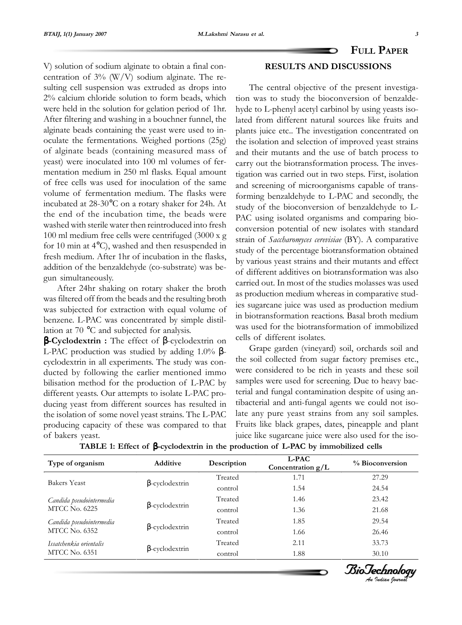**FULL PAPER**

V) solution of sodium alginate to obtain a final concentration of 3% (W/V) sodium alginate. The resulting cell suspension was extruded as drops into 2% calcium chloride solution to form beads, which were held in the solution for gelation period of 1hr. After filtering and washing in a bouchner funnel, the alginate beads containing the yeast were used to inoculate the fermentations. Weighed portions (25g) of alginate beads (containing measured mass of yeast) were inoculated into 100 ml volumes of fermentation medium in 250 ml flasks. Equal amount of free cells was used for inoculation of the same volume of fermentation medium. The flasks were incubated at 28-30°C on a rotary shaker for 24h. At the end of the incubation time, the beads were washed with sterile water then reintroduced into fresh 100 ml medium free cells were centrifuged (3000 x g for 10 min at 4°C), washed and then resuspended in fresh medium. After 1hr of incubation in the flasks, addition of the benzaldehyde (co-substrate) was begun simultaneously.

After 24hr shaking on rotary shaker the broth was filtered off from the beads and the resulting broth was subjected for extraction with equal volume of benzene. L-PAC was concentrated by simple distillation at 70 °C and subjected for analysis.

β**-Cyclodextrin :** The effect of β-cyclodextrin on L-PAC production was studied by adding 1.0% βcyclodextrin in all experiments. The study was conducted by following the earlier mentioned immo bilisation method for the production of L-PAC by different yeasts. Our attempts to isolate L-PAC producing yeast from different sources has resulted in the isolation of some novel yeast strains. The L-PAC producing capacity of these was compared to that of bakers yeast.

# **RESULTS AND DISCUSSIONS**

The central objective of the present investigation was to study the bioconversion of benzaldehyde to L-phenyl acetyl carbinol by using yeasts isolated from different natural sources like fruits and plants juice etc.. The investigation concentrated on the isolation and selection of improved yeast strains and their mutants and the use of batch process to carry out the biotransformation process. The investigation was carried out in two steps. First, isolation and screening of microorganisms capable of transforming benzaldehyde to L-PAC and secondly, the study of the bioconversion of benzaldehyde to L-PAC using isolated organisms and comparing bioconversion potential of new isolates with standard strain of *Saccharomyces cerevisiae* (BY). A comparative study of the percentage biotransformation obtained by various yeast strains and their mutants and effect of different additives on biotransformation was also carried out. In most of the studies molasses was used as production medium whereas in comparative studies sugarcane juice was used as production medium in biotransformation reactions. Basal broth medium was used for the biotransformation of immobilized cells of different isolates.

Grape garden (vineyard) soil, orchards soil and the soil collected from sugar factory premises etc., were considered to be rich in yeasts and these soil samples were used for screening. Due to heavy bacterial and fungal contamination despite of using antibacterial and anti-fungal agents we could not isolate any pure yeast strains from any soil samples. Fruits like black grapes, dates, pineapple and plant juice like sugarcane juice were also used for the iso-

| Type of organism                                 | <b>Additive</b>       | Description | <b>L-PAC</b><br>Concentration $g/L$ | % Bioconversion |
|--------------------------------------------------|-----------------------|-------------|-------------------------------------|-----------------|
| <b>Bakers Yeast</b>                              |                       | Treated     | 1.71                                | 27.29           |
|                                                  | $\beta$ -cyclodextrin | control     | 1.54                                | 24.54           |
| Candida pseudointermedia<br><b>MTCC No. 6225</b> |                       | Treated     | 1.46                                | 23.42           |
|                                                  | $\beta$ -cyclodextrin | control     | 1.36                                | 21.68           |
| Candida pseudointermedia<br><b>MTCC No. 6352</b> |                       | Treated     | 1.85                                | 29.54           |
|                                                  | $\beta$ -cyclodextrin | control     | 1.66                                | 26.46           |
| Issatchenkia orientalis<br><b>MTCC No. 6351</b>  |                       | Treated     | 2.11                                | 33.73           |
|                                                  | $\beta$ -cyclodextrin | control     | 1.88                                | 30.10           |

**TABLE 1: Effect of** β**-cyclodextrin in the production of L-PAC by immobilized cells**